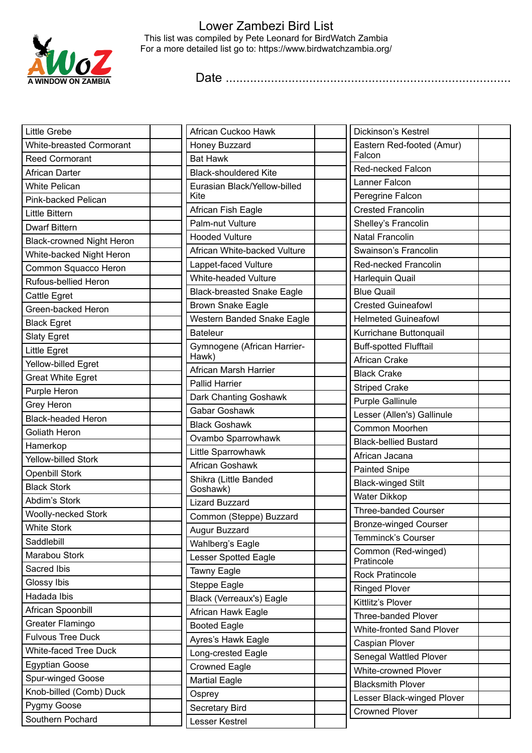

## Lower Zambezi Bird List This list was compiled by Pete Leonard for BirdWatch Zambia For a more detailed list go to: https://www.birdwatchzambia.org/

Date ..................................................................................

| Little Grebe                     | African Cuckoo Hawk               | Dickinson's Kestrel                                     |  |
|----------------------------------|-----------------------------------|---------------------------------------------------------|--|
| <b>White-breasted Cormorant</b>  | Honey Buzzard                     | Eastern Red-footed (Amur)                               |  |
| <b>Reed Cormorant</b>            | <b>Bat Hawk</b>                   | Falcon                                                  |  |
| African Darter                   | <b>Black-shouldered Kite</b>      | Red-necked Falcon                                       |  |
| <b>White Pelican</b>             | Eurasian Black/Yellow-billed      | Lanner Falcon                                           |  |
| Pink-backed Pelican              | Kite                              | Peregrine Falcon                                        |  |
| Little Bittern                   | African Fish Eagle                | <b>Crested Francolin</b>                                |  |
| <b>Dwarf Bittern</b>             | Palm-nut Vulture                  | Shelley's Francolin                                     |  |
| <b>Black-crowned Night Heron</b> | <b>Hooded Vulture</b>             | Natal Francolin                                         |  |
| White-backed Night Heron         | African White-backed Vulture      | Swainson's Francolin                                    |  |
| Common Squacco Heron             | Lappet-faced Vulture              | Red-necked Francolin                                    |  |
| Rufous-bellied Heron             | White-headed Vulture              | Harlequin Quail                                         |  |
| Cattle Egret                     | <b>Black-breasted Snake Eagle</b> | <b>Blue Quail</b>                                       |  |
| Green-backed Heron               | <b>Brown Snake Eagle</b>          | <b>Crested Guineafowl</b>                               |  |
| <b>Black Egret</b>               | Western Banded Snake Eagle        | <b>Helmeted Guineafowl</b>                              |  |
| <b>Slaty Egret</b>               | <b>Bateleur</b>                   | Kurrichane Buttonquail                                  |  |
| Little Egret                     | Gymnogene (African Harrier-       | <b>Buff-spotted Flufftail</b>                           |  |
| Yellow-billed Egret              | Hawk)                             | African Crake                                           |  |
| <b>Great White Egret</b>         | African Marsh Harrier             | <b>Black Crake</b>                                      |  |
| Purple Heron                     | <b>Pallid Harrier</b>             | <b>Striped Crake</b>                                    |  |
| Grey Heron                       | Dark Chanting Goshawk             | <b>Purple Gallinule</b>                                 |  |
| <b>Black-headed Heron</b>        | Gabar Goshawk                     | Lesser (Allen's) Gallinule                              |  |
| Goliath Heron                    | <b>Black Goshawk</b>              | Common Moorhen                                          |  |
| Hamerkop                         | Ovambo Sparrowhawk                | <b>Black-bellied Bustard</b>                            |  |
| Yellow-billed Stork              | Little Sparrowhawk                | African Jacana                                          |  |
| <b>Openbill Stork</b>            | African Goshawk                   | <b>Painted Snipe</b>                                    |  |
| <b>Black Stork</b>               | Shikra (Little Banded<br>Goshawk) | <b>Black-winged Stilt</b>                               |  |
| Abdim's Stork                    | <b>Lizard Buzzard</b>             | Water Dikkop                                            |  |
| <b>Woolly-necked Stork</b>       | Common (Steppe) Buzzard           | <b>Three-banded Courser</b>                             |  |
| <b>White Stork</b>               | Augur Buzzard                     | Bronze-winged Courser                                   |  |
| Saddlebill                       | Wahlberg's Eagle                  | Temminck's Courser                                      |  |
| Marabou Stork                    | Lesser Spotted Eagle              | Common (Red-winged)                                     |  |
| Sacred Ibis                      | Tawny Eagle                       | Pratincole                                              |  |
| Glossy Ibis                      | Steppe Eagle                      | <b>Rock Pratincole</b>                                  |  |
| Hadada Ibis                      | Black (Verreaux's) Eagle          | <b>Ringed Plover</b>                                    |  |
| African Spoonbill                | African Hawk Eagle                | Kittlitz's Plover                                       |  |
| Greater Flamingo                 | <b>Booted Eagle</b>               | Three-banded Plover                                     |  |
| <b>Fulvous Tree Duck</b>         | Ayres's Hawk Eagle                | <b>White-fronted Sand Plover</b>                        |  |
| White-faced Tree Duck            | Long-crested Eagle                | Caspian Plover                                          |  |
| <b>Egyptian Goose</b>            | <b>Crowned Eagle</b>              | Senegal Wattled Plover                                  |  |
| Spur-winged Goose                | <b>Martial Eagle</b>              | <b>White-crowned Plover</b><br><b>Blacksmith Plover</b> |  |
| Knob-billed (Comb) Duck          | Osprey                            | Lesser Black-winged Plover                              |  |
| Pygmy Goose                      | Secretary Bird                    | <b>Crowned Plover</b>                                   |  |
| Southern Pochard                 | Lesser Kestrel                    |                                                         |  |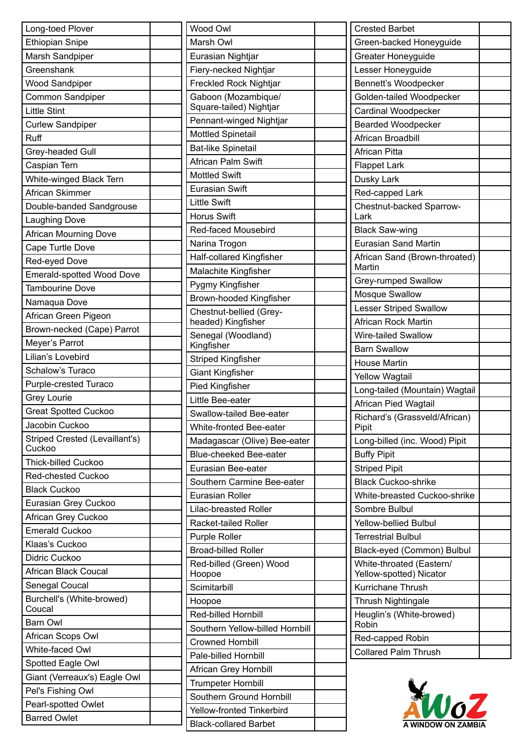| Long-toed Plover                              | W                       |
|-----------------------------------------------|-------------------------|
| <b>Ethiopian Snipe</b>                        | M                       |
| Marsh Sandpiper                               | E                       |
| Greenshank                                    | F                       |
| <b>Wood Sandpiper</b>                         | F                       |
| <b>Common Sandpiper</b>                       |                         |
| <b>Little Stint</b>                           | G<br>S                  |
| <b>Curlew Sandpiper</b>                       | $\overline{\mathsf{P}}$ |
| Ruff                                          | N                       |
| Grey-headed Gull                              | B                       |
| Caspian Tern                                  | A                       |
| White-winged Black Tern                       | M                       |
| African Skimmer                               | E                       |
| Double-banded Sandgrouse                      | Li                      |
| <b>Laughing Dove</b>                          | $\overline{H}$          |
| African Mourning Dove                         | R                       |
| Cape Turtle Dove                              | N                       |
| Red-eyed Dove                                 | Н                       |
| <b>Emerald-spotted Wood Dove</b>              | M                       |
| <b>Tambourine Dove</b>                        | P                       |
| Namaqua Dove                                  | B                       |
| African Green Pigeon                          | C                       |
| Brown-necked (Cape) Parrot                    | h                       |
| Meyer's Parrot                                | S                       |
| Lilian's Lovebird                             | K                       |
| Schalow's Turaco                              | S                       |
| Purple-crested Turaco                         | G                       |
| <b>Grey Lourie</b>                            | P                       |
|                                               |                         |
| <b>Great Spotted Cuckoo</b><br>Jacobin Cuckoo | $\overline{s}$          |
| Striped Crested (Levaillant's)                | N                       |
| Cuckoo                                        | M                       |
| Thick-billed Cuckoo                           | B                       |
| <b>Red-chested Cuckoo</b>                     | E                       |
| <b>Black Cuckoo</b>                           | S                       |
| Eurasian Grey Cuckoo                          | E                       |
| African Grey Cuckoo                           |                         |
| <b>Emerald Cuckoo</b>                         | R                       |
| Klaas's Cuckoo                                | P                       |
| Didric Cuckoo                                 | B                       |
| African Black Coucal                          | R<br>Н                  |
| Senegal Coucal                                | S                       |
| Burchell's (White-browed)                     | H                       |
| Coucal                                        | R                       |
| <b>Barn Owl</b>                               | S                       |
| African Scops Owl                             | C                       |
| White-faced Owl                               | P                       |
| Spotted Eagle Owl                             |                         |
| Giant (Verreaux's) Eagle Owl                  | Α                       |
| Pel's Fishing Owl                             | T                       |
| Pearl-spotted Owlet                           | S                       |
| <b>Barred Owlet</b>                           |                         |
|                                               |                         |

| Wood Owl                          |  |
|-----------------------------------|--|
| Marsh Owl                         |  |
| Eurasian Nightjar                 |  |
| Fiery-necked Nightjar             |  |
| <b>Freckled Rock Nightjar</b>     |  |
| Gaboon (Mozambique/               |  |
| Square-tailed) Nightjar           |  |
| Pennant-winged Nightjar           |  |
| Mottled Spinetail                 |  |
| <b>Bat-like Spinetail</b>         |  |
| African Palm Swift                |  |
| <b>Mottled Swift</b>              |  |
| <b>Eurasian Swift</b>             |  |
| <b>Little Swift</b>               |  |
| <b>Horus Swift</b>                |  |
| <b>Red-faced Mousebird</b>        |  |
| Narina Trogon                     |  |
| <b>Half-collared Kingfisher</b>   |  |
| Malachite Kingfisher              |  |
| Pygmy Kingfisher                  |  |
| Brown-hooded Kingfisher           |  |
| Chestnut-bellied (Grey-           |  |
| headed) Kingfisher                |  |
| Senegal (Woodland)<br>Kingfisher  |  |
| <b>Striped Kingfisher</b>         |  |
| <b>Giant Kingfisher</b>           |  |
| <b>Pied Kingfisher</b>            |  |
| Little Bee-eater                  |  |
| Swallow-tailed Bee-eater          |  |
| White-fronted Bee-eater           |  |
| Madagascar (Olive) Bee-eater      |  |
| <b>Blue-cheeked Bee-eater</b>     |  |
| Eurasian Bee-eater                |  |
| Southern Carmine Bee-eater        |  |
| Eurasian Roller                   |  |
| <b>Lilac-breasted Roller</b>      |  |
| Racket-tailed Roller              |  |
| <b>Purple Roller</b>              |  |
| <b>Broad-billed Roller</b>        |  |
| Red-billed (Green) Wood<br>Hoopoe |  |
| Scimitarbill                      |  |
| Hoopoe                            |  |
| Red-billed Hornbill               |  |
| Southern Yellow-billed Hornbill   |  |
| <b>Crowned Hornbill</b>           |  |
| Pale-billed Hornbill              |  |
| African Grey Hornbill             |  |
| <b>Trumpeter Hornbill</b>         |  |
| Southern Ground Hornbill          |  |
| Yellow-fronted Tinkerbird         |  |
| <b>Black-collared Barbet</b>      |  |
|                                   |  |

| <b>Crested Barbet</b>                               |  |
|-----------------------------------------------------|--|
| Green-backed Honeyguide                             |  |
| Greater Honeyguide                                  |  |
| Lesser Honeyguide                                   |  |
| Bennett's Woodpecker                                |  |
| Golden-tailed Woodpecker                            |  |
| <b>Cardinal Woodpecker</b>                          |  |
| <b>Bearded Woodpecker</b>                           |  |
| African Broadbill                                   |  |
| <b>African Pitta</b>                                |  |
| <b>Flappet Lark</b>                                 |  |
| Dusky Lark                                          |  |
| Red-capped Lark                                     |  |
| Chestnut-backed Sparrow-<br>Lark                    |  |
| <b>Black Saw-wing</b>                               |  |
| <b>Eurasian Sand Martin</b>                         |  |
| African Sand (Brown-throated)<br>Martin             |  |
| Grey-rumped Swallow                                 |  |
| Mosque Swallow                                      |  |
| <b>Lesser Striped Swallow</b>                       |  |
| African Rock Martin                                 |  |
| Wire-tailed Swallow                                 |  |
| <b>Barn Swallow</b>                                 |  |
| <b>House Martin</b>                                 |  |
| <b>Yellow Wagtail</b>                               |  |
| Long-tailed (Mountain) Wagtail                      |  |
| <b>African Pied Wagtail</b>                         |  |
| Richard's (Grassveld/African)<br>Pipit              |  |
| Long-billed (inc. Wood) Pipit                       |  |
| <b>Buffy Pipit</b>                                  |  |
| <b>Striped Pipit</b>                                |  |
| <b>Black Cuckoo-shrike</b>                          |  |
| White-breasted Cuckoo-shrike                        |  |
| Sombre Bulbul                                       |  |
| <b>Yellow-bellied Bulbul</b>                        |  |
| Terrestrial Bulbul                                  |  |
| Black-eyed (Common) Bulbul                          |  |
| White-throated (Eastern/<br>Yellow-spotted) Nicator |  |
| Kurrichane Thrush                                   |  |
| <b>Thrush Nightingale</b>                           |  |
| Heuglin's (White-browed)<br>Robin                   |  |
| Red-capped Robin                                    |  |
| <b>Collared Palm Thrush</b>                         |  |